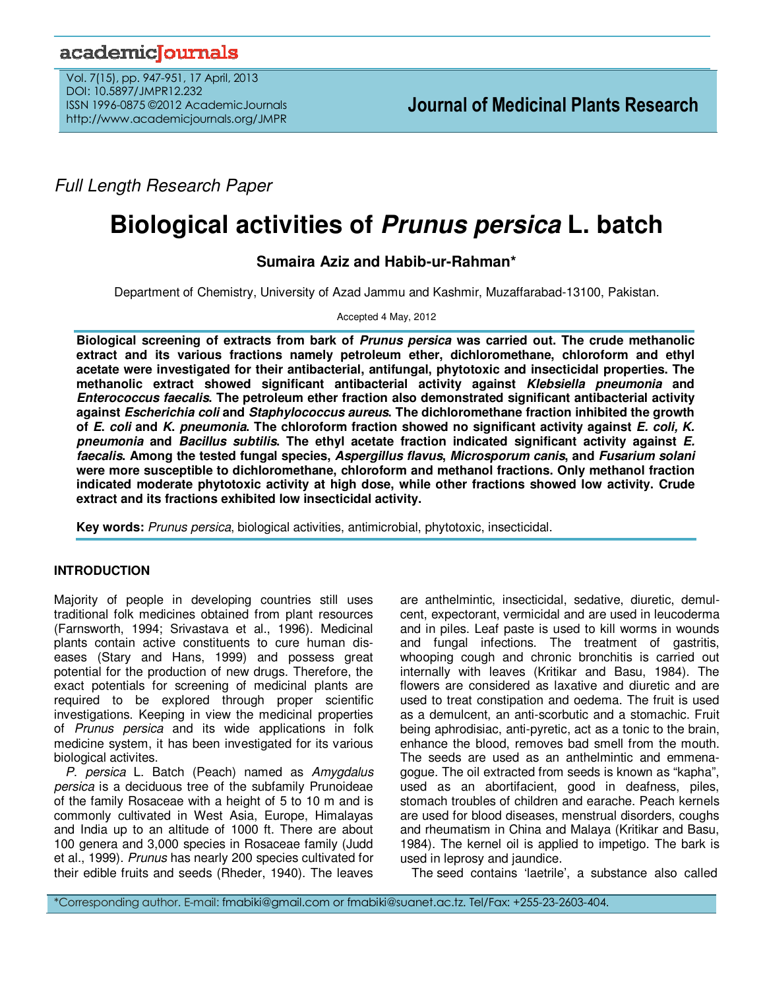# academicoournals

Vol. 7(15), pp. 947-951, 17 April, 2013 DOI: 10.5897/JMPR12.232 ISSN 1996-0875 ©2012 AcademicJournals http://www.academicjournals.org/JMPR

Full Length Research Paper

# **Biological activities of Prunus persica L. batch**

**Sumaira Aziz and Habib-ur-Rahman\*** 

Department of Chemistry, University of Azad Jammu and Kashmir, Muzaffarabad-13100, Pakistan.

Accepted 4 May, 2012

**Biological screening of extracts from bark of Prunus persica was carried out. The crude methanolic extract and its various fractions namely petroleum ether, dichloromethane, chloroform and ethyl acetate were investigated for their antibacterial, antifungal, phytotoxic and insecticidal properties. The methanolic extract showed significant antibacterial activity against Klebsiella pneumonia and Enterococcus faecalis. The petroleum ether fraction also demonstrated significant antibacterial activity against Escherichia coli and Staphylococcus aureus. The dichloromethane fraction inhibited the growth of E. coli and K. pneumonia. The chloroform fraction showed no significant activity against E. coli, K. pneumonia and Bacillus subtilis. The ethyl acetate fraction indicated significant activity against E. faecalis. Among the tested fungal species, Aspergillus flavus, Microsporum canis, and Fusarium solani were more susceptible to dichloromethane, chloroform and methanol fractions. Only methanol fraction indicated moderate phytotoxic activity at high dose, while other fractions showed low activity. Crude extract and its fractions exhibited low insecticidal activity.** 

**Key words:** Prunus persica, biological activities, antimicrobial, phytotoxic, insecticidal.

# **INTRODUCTION**

Majority of people in developing countries still uses traditional folk medicines obtained from plant resources (Farnsworth, 1994; Srivastava et al., 1996). Medicinal plants contain active constituents to cure human diseases (Stary and Hans, 1999) and possess great potential for the production of new drugs. Therefore, the exact potentials for screening of medicinal plants are required to be explored through proper scientific investigations. Keeping in view the medicinal properties of Prunus persica and its wide applications in folk medicine system, it has been investigated for its various biological activites.

P. persica L. Batch (Peach) named as Amygdalus persica is a deciduous tree of the subfamily Prunoideae of the family Rosaceae with a height of 5 to 10 m and is commonly cultivated in West Asia, Europe, Himalayas and India up to an altitude of 1000 ft. There are about 100 genera and 3,000 species in Rosaceae family (Judd et al., 1999). Prunus has nearly 200 species cultivated for their edible fruits and seeds (Rheder, 1940). The leaves

are anthelmintic, insecticidal, sedative, diuretic, demulcent, expectorant, vermicidal and are used in leucoderma and in piles. Leaf paste is used to kill worms in wounds and fungal infections. The treatment of gastritis, whooping cough and chronic bronchitis is carried out internally with leaves (Kritikar and Basu, 1984). The flowers are considered as laxative and diuretic and are used to treat constipation and oedema. The fruit is used as a demulcent, an anti-scorbutic and a stomachic. Fruit being aphrodisiac, anti-pyretic, act as a tonic to the brain, enhance the blood, removes bad smell from the mouth. The seeds are used as an anthelmintic and emmenagogue. The oil extracted from seeds is known as "kapha", used as an abortifacient, good in deafness, piles, stomach troubles of children and earache. Peach kernels are used for blood diseases, menstrual disorders, coughs and rheumatism in China and Malaya (Kritikar and Basu, 1984). The kernel oil is applied to impetigo. The bark is used in leprosy and jaundice.

The seed contains 'laetrile', a substance also called

\*Corresponding author. E-mail: fmabiki@gmail.com or fmabiki@suanet.ac.tz. Tel/Fax: +255-23-2603-404.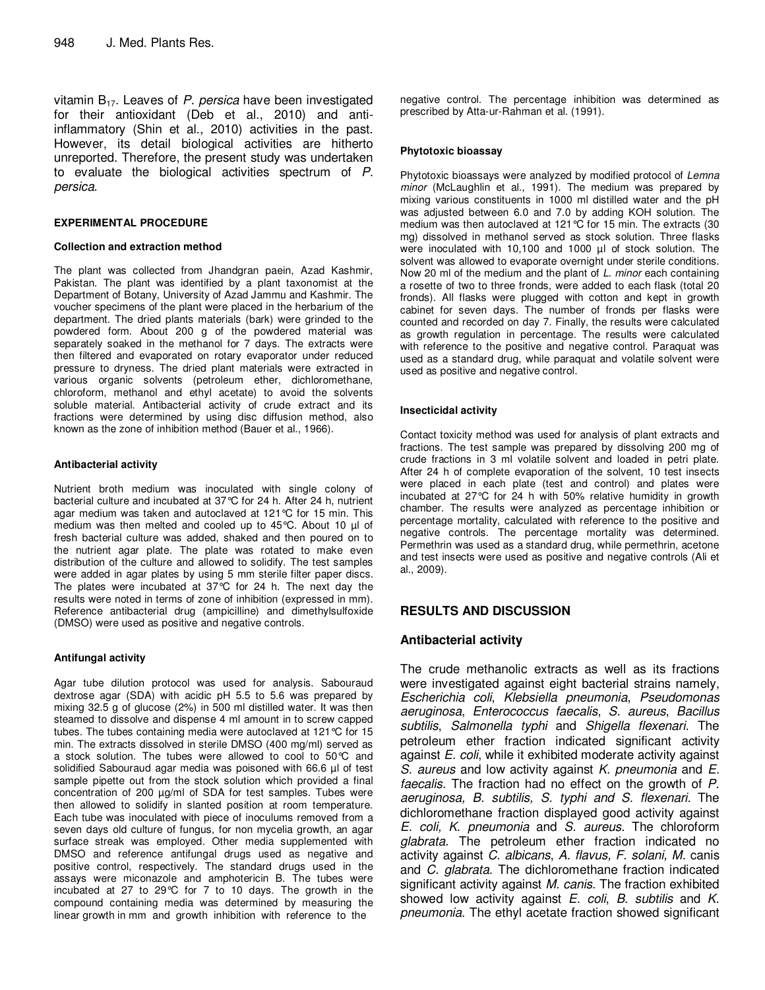vitamin  $B_{17}$ . Leaves of P. persica have been investigated for their antioxidant (Deb et al., 2010) and antiinflammatory (Shin et al., 2010) activities in the past. However, its detail biological activities are hitherto unreported. Therefore, the present study was undertaken to evaluate the biological activities spectrum of P. persica.

### **EXPERIMENTAL PROCEDURE**

#### **Collection and extraction method**

The plant was collected from Jhandgran paein, Azad Kashmir, Pakistan. The plant was identified by a plant taxonomist at the Department of Botany, University of Azad Jammu and Kashmir. The voucher specimens of the plant were placed in the herbarium of the department. The dried plants materials (bark) were grinded to the powdered form. About 200 g of the powdered material was separately soaked in the methanol for 7 days. The extracts were then filtered and evaporated on rotary evaporator under reduced pressure to dryness. The dried plant materials were extracted in various organic solvents (petroleum ether, dichloromethane, chloroform, methanol and ethyl acetate) to avoid the solvents soluble material. Antibacterial activity of crude extract and its fractions were determined by using disc diffusion method, also known as the zone of inhibition method (Bauer et al., 1966).

#### **Antibacterial activity**

Nutrient broth medium was inoculated with single colony of bacterial culture and incubated at 37°C for 24 h. After 24 h, nutrient agar medium was taken and autoclaved at 121°C for 15 min. This medium was then melted and cooled up to 45°C. About 10 µl of fresh bacterial culture was added, shaked and then poured on to the nutrient agar plate. The plate was rotated to make even distribution of the culture and allowed to solidify. The test samples were added in agar plates by using 5 mm sterile filter paper discs. The plates were incubated at 37°C for 24 h. The next day the results were noted in terms of zone of inhibition (expressed in mm). Reference antibacterial drug (ampicilline) and dimethylsulfoxide (DMSO) were used as positive and negative controls.

### **Antifungal activity**

Agar tube dilution protocol was used for analysis. Sabouraud dextrose agar (SDA) with acidic pH 5.5 to 5.6 was prepared by mixing 32.5 g of glucose (2%) in 500 ml distilled water. It was then steamed to dissolve and dispense 4 ml amount in to screw capped tubes. The tubes containing media were autoclaved at 121°C for 15 min. The extracts dissolved in sterile DMSO (400 mg/ml) served as a stock solution. The tubes were allowed to cool to 50°C and solidified Sabouraud agar media was poisoned with 66.6 µl of test sample pipette out from the stock solution which provided a final concentration of 200 µg/ml of SDA for test samples. Tubes were then allowed to solidify in slanted position at room temperature. Each tube was inoculated with piece of inoculums removed from a seven days old culture of fungus, for non mycelia growth, an agar surface streak was employed. Other media supplemented with DMSO and reference antifungal drugs used as negative and positive control, respectively. The standard drugs used in the assays were miconazole and amphotericin B. The tubes were incubated at 27 to 29°C for 7 to 10 days. The growth in the compound containing media was determined by measuring the linear growth in mm and growth inhibition with reference to the

negative control. The percentage inhibition was determined as prescribed by Atta-ur-Rahman et al. (1991).

### **Phytotoxic bioassay**

Phytotoxic bioassays were analyzed by modified protocol of Lemna minor (McLaughlin et al., 1991). The medium was prepared by mixing various constituents in 1000 ml distilled water and the pH was adjusted between 6.0 and 7.0 by adding KOH solution. The medium was then autoclaved at 121°C for 15 min. The extracts (30 mg) dissolved in methanol served as stock solution. Three flasks were inoculated with 10,100 and 1000 µl of stock solution. The solvent was allowed to evaporate overnight under sterile conditions. Now 20 ml of the medium and the plant of L. minor each containing a rosette of two to three fronds, were added to each flask (total 20 fronds). All flasks were plugged with cotton and kept in growth cabinet for seven days. The number of fronds per flasks were counted and recorded on day 7. Finally, the results were calculated as growth regulation in percentage. The results were calculated with reference to the positive and negative control. Paraquat was used as a standard drug, while paraquat and volatile solvent were used as positive and negative control.

### **Insecticidal activity**

Contact toxicity method was used for analysis of plant extracts and fractions. The test sample was prepared by dissolving 200 mg of crude fractions in 3 ml volatile solvent and loaded in petri plate. After 24 h of complete evaporation of the solvent, 10 test insects were placed in each plate (test and control) and plates were incubated at 27°C for 24 h with 50% relative humidity in growth chamber. The results were analyzed as percentage inhibition or percentage mortality, calculated with reference to the positive and negative controls. The percentage mortality was determined. Permethrin was used as a standard drug, while permethrin, acetone and test insects were used as positive and negative controls (Ali et al., 2009).

# **RESULTS AND DISCUSSION**

# **Antibacterial activity**

The crude methanolic extracts as well as its fractions were investigated against eight bacterial strains namely, Escherichia coli, Klebsiella pneumonia, Pseudomonas aeruginosa, Enterococcus faecalis, S. aureus, Bacillus subtilis, Salmonella typhi and Shigella flexenari. The petroleum ether fraction indicated significant activity against E. coli, while it exhibited moderate activity against S. aureus and low activity against *K. pneumonia* and *E.* faecalis. The fraction had no effect on the growth of P. aeruginosa, B. subtilis, S. typhi and S. flexenari. The dichloromethane fraction displayed good activity against E. coli, K. pneumonia and S. aureus. The chloroform glabrata. The petroleum ether fraction indicated no activity against C. albicans, A. flavus, F. solani, M. canis and C. glabrata. The dichloromethane fraction indicated significant activity against *M. canis*. The fraction exhibited showed low activity against  $E$ . coli,  $B$ . subtilis and  $K$ . pneumonia. The ethyl acetate fraction showed significant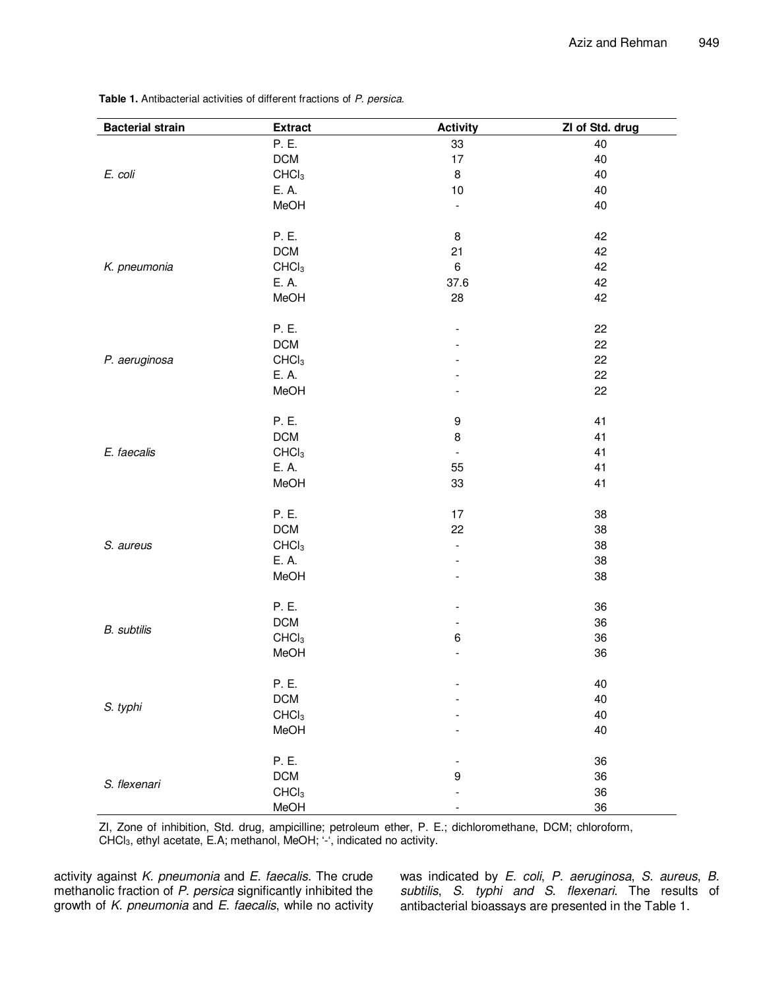| <b>Bacterial strain</b> | <b>Extract</b>    | <b>Activity</b>          | ZI of Std. drug |
|-------------------------|-------------------|--------------------------|-----------------|
|                         | P. E.             | 33                       | 40              |
|                         | DCM               | 17                       | 40              |
| E. coli                 | CHCl <sub>3</sub> | $\bf8$                   | 40              |
|                         | E. A.             | $10$                     | 40              |
|                         | MeOH              | $\overline{\phantom{a}}$ | 40              |
|                         |                   |                          |                 |
|                         | P. E.             | $\bf8$                   | 42              |
|                         | <b>DCM</b>        | 21                       | 42              |
| K. pneumonia            | CHCl <sub>3</sub> | $\,6\,$                  | 42              |
|                         | E. A.             | 37.6                     | 42              |
|                         | MeOH              | 28                       | 42              |
|                         |                   |                          |                 |
|                         | P. E.             | $\overline{a}$           | 22              |
|                         | <b>DCM</b>        |                          | 22              |
| P. aeruginosa           | CHCl <sub>3</sub> |                          | 22              |
|                         | E. A.             |                          | 22              |
|                         | MeOH              |                          | 22              |
|                         |                   |                          |                 |
| E. faecalis             | P. E.             | $\boldsymbol{9}$         | 41              |
|                         | DCM               | $\bf8$                   | 41              |
|                         | CHCl <sub>3</sub> | $\overline{\phantom{a}}$ | 41              |
|                         | E. A.             | 55                       | 41              |
|                         | MeOH              | 33                       | 41              |
|                         | P. E.             | 17                       | 38              |
|                         | <b>DCM</b>        | 22                       | 38              |
| S. aureus               | CHCl <sub>3</sub> | $\overline{\phantom{a}}$ | 38              |
|                         | E. A.             | $\overline{a}$           | 38              |
|                         | MeOH              |                          | 38              |
|                         |                   |                          |                 |
|                         | P. E.             | $\overline{\phantom{a}}$ | 36              |
|                         | <b>DCM</b>        | $\overline{\phantom{a}}$ | 36              |
| <b>B.</b> subtilis      | CHCl <sub>3</sub> | $\,6\,$                  | 36              |
|                         | MeOH              | $\overline{a}$           | 36              |
|                         |                   |                          |                 |
|                         | P. E.             |                          | 40              |
|                         | DCM               |                          | 40              |
| S. typhi                | CHCl <sub>3</sub> |                          | 40              |
|                         | MeOH              |                          | 40              |
|                         |                   |                          |                 |
|                         | P. E.             | ۰                        | 36              |
| S. flexenari            | DCM               | $\boldsymbol{9}$         | 36              |
|                         | CHCl <sub>3</sub> |                          | 36              |
|                         | MeOH              |                          | 36              |

**Table 1.** Antibacterial activities of different fractions of P. persica.

ZI, Zone of inhibition, Std. drug, ampicilline; petroleum ether, P. E.; dichloromethane, DCM; chloroform, CHCl3, ethyl acetate, E.A; methanol, MeOH; '-', indicated no activity.

activity against  $K$ . pneumonia and  $E$ . faecalis. The crude methanolic fraction of P. persica significantly inhibited the growth of K. pneumonia and E. faecalis, while no activity

was indicated by E. coli, P. aeruginosa, S. aureus, B. subtilis, S. typhi and S. flexenari. The results of antibacterial bioassays are presented in the Table 1.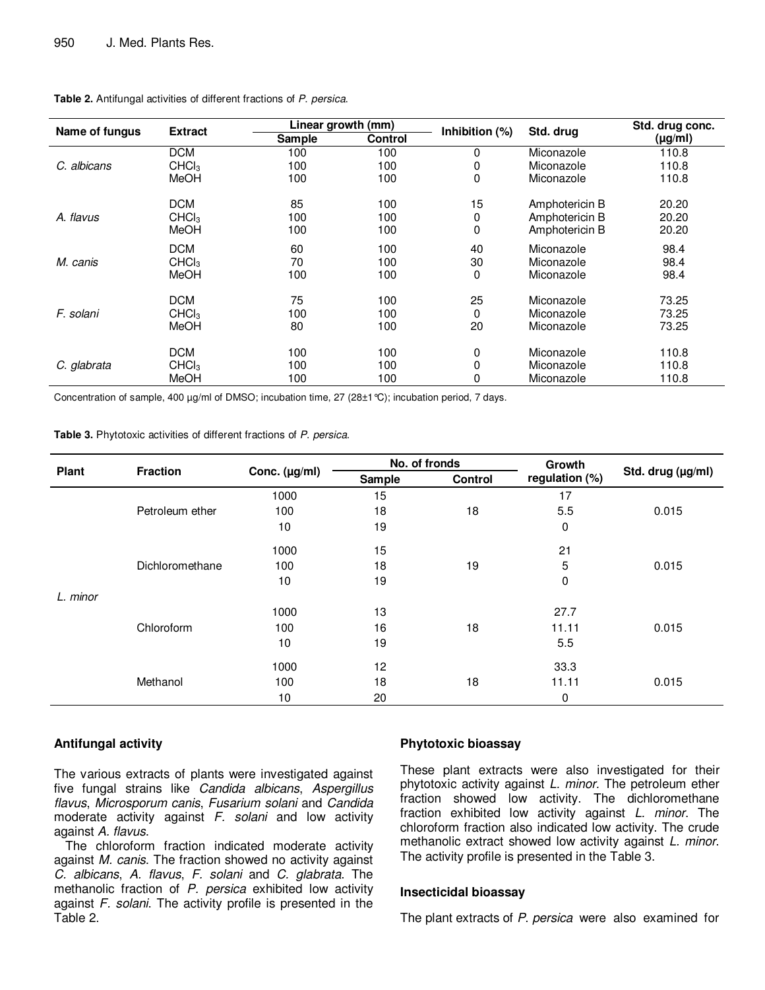|                | <b>Extract</b>    |        | Linear growth (mm) |                |                | Std. drug conc. |
|----------------|-------------------|--------|--------------------|----------------|----------------|-----------------|
| Name of fungus |                   | Sample | <b>Control</b>     | Inhibition (%) | Std. drug      | $(\mu g/ml)$    |
| C. albicans    | <b>DCM</b>        | 100    | 100                | 0              | Miconazole     | 110.8           |
|                | CHCl <sub>3</sub> | 100    | 100                | 0              | Miconazole     | 110.8           |
|                | MeOH              | 100    | 100                | 0              | Miconazole     | 110.8           |
|                | <b>DCM</b>        | 85     | 100                | 15             | Amphotericin B | 20.20           |
| A. flavus      | CHCl <sub>3</sub> | 100    | 100                | 0              | Amphotericin B | 20.20           |
|                | MeOH              | 100    | 100                | 0              | Amphotericin B | 20.20           |
|                | <b>DCM</b>        | 60     | 100                | 40             | Miconazole     | 98.4            |
| M. canis       | CHCl <sub>3</sub> | 70     | 100                | 30             | Miconazole     | 98.4            |
|                | MeOH              | 100    | 100                | 0              | Miconazole     | 98.4            |
|                | <b>DCM</b>        | 75     | 100                | 25             | Miconazole     | 73.25           |
| F. solani      | CHC <sub>3</sub>  | 100    | 100                | $\Omega$       | Miconazole     | 73.25           |
|                | MeOH              | 80     | 100                | 20             | Miconazole     | 73.25           |
|                | <b>DCM</b>        | 100    | 100                | 0              | Miconazole     | 110.8           |
| C. glabrata    | CHCl <sub>3</sub> | 100    | 100                | $\mathbf{0}$   | Miconazole     | 110.8           |
|                | MeOH              | 100    | 100                | 0              | Miconazole     | 110.8           |

#### **Table 2.** Antifungal activities of different fractions of P. persica.

Concentration of sample, 400 µg/ml of DMSO; incubation time, 27 (28±1 °C); incubation period, 7 days.

**Table 3.** Phytotoxic activities of different fractions of P. persica.

| <b>Plant</b> | <b>Fraction</b> | Conc. (µg/ml) | No. of fronds |                | Growth         |                   |
|--------------|-----------------|---------------|---------------|----------------|----------------|-------------------|
|              |                 |               | Sample        | <b>Control</b> | regulation (%) | Std. drug (µg/ml) |
|              | Petroleum ether | 1000          | 15            | 18             | 17             | 0.015             |
|              |                 | 100           | 18            |                | 5.5            |                   |
|              |                 | 10            | 19            |                | 0              |                   |
|              | Dichloromethane | 1000          | 15            | 19             | 21             | 0.015             |
|              |                 | 100           | 18            |                | 5              |                   |
|              |                 | 10            | 19            |                | 0              |                   |
| L. minor     |                 |               |               |                |                |                   |
|              | Chloroform      | 1000          | 13            |                | 27.7           |                   |
|              |                 | 100           | 16            | 18             | 11.11          | 0.015             |
|              |                 | 10            | 19            |                | 5.5            |                   |
|              | Methanol        | 1000          | 12            | 18             | 33.3           | 0.015             |
|              |                 | 100           | 18            |                | 11.11          |                   |
|              |                 | 10            | 20            |                | 0              |                   |

# **Antifungal activity**

The various extracts of plants were investigated against five fungal strains like Candida albicans, Aspergillus flavus, Microsporum canis, Fusarium solani and Candida moderate activity against  $F$ . solani and low activity against A. flavus.

The chloroform fraction indicated moderate activity against M. canis. The fraction showed no activity against C. albicans, A. flavus, F. solani and C. glabrata. The methanolic fraction of P. persica exhibited low activity against F. solani. The activity profile is presented in the Table 2.

# **Phytotoxic bioassay**

These plant extracts were also investigated for their phytotoxic activity against L. minor. The petroleum ether fraction showed low activity. The dichloromethane fraction exhibited low activity against L. minor. The chloroform fraction also indicated low activity. The crude methanolic extract showed low activity against *L. minor.* The activity profile is presented in the Table 3.

# **Insecticidal bioassay**

The plant extracts of P. persica were also examined for